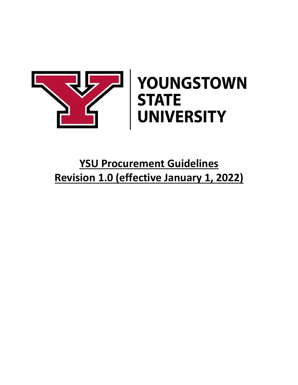

# YOUNGSTOWN **STATE<br>UNIVERSITY**

# **YSU Procurement Guidelines Revision 1.0 (effective January 1, 2022)**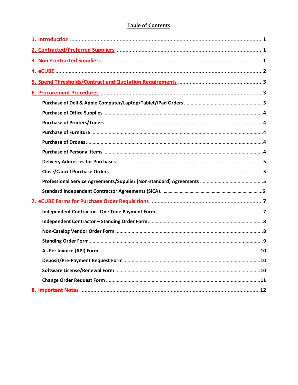# **Table of Contents**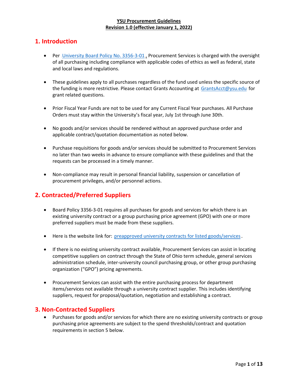# <span id="page-2-0"></span>**1. Introduction**

- Per [University Board Policy No. 3356-3-01](https://cms.ysu.edu/administrative-offices/university-policies/3-budget-and-finance)., Procurement Services is charged with the oversight of all purchasing including compliance with applicable codes of ethics as well as federal, state and local laws and regulations.
- These guidelines apply to all purchases regardless of the fund used unless the specific source of the funding is more restrictive. Please contact Grants Accounting at [GrantsAcct@ysu.edu](mailto:GrantsAcct@ysu.edu). for grant related questions.
- Prior Fiscal Year Funds are not to be used for any Current Fiscal Year purchases. All Purchase Orders must stay within the University's fiscal year, July 1st through June 30th.
- No goods and/or services should be rendered without an approved purchase order and applicable contract/quotation documentation as noted below.
- Purchase requisitions for goods and/or services should be submitted to Procurement Services no later than two weeks in advance to ensure compliance with these guidelines and that the requests can be processed in a timely manner.
- Non-compliance may result in personal financial liability, suspension or cancellation of procurement privileges, and/or personnel actions.

# <span id="page-2-1"></span>**2. Contracted/Preferred Suppliers**

- Board Policy 3356-3-01 requires all purchases for goods and services for which there is an existing university contract or a group purchasing price agreement (GPO) with one or more preferred suppliers must be made from these suppliers.
- Here is the website link for: [preapproved university contracts for listed goods/services](https://ysu.edu/procurement-services/procurement-vendor).
- If there is no existing university contract available, Procurement Services can assist in locating competitive suppliers on contract through the State of Ohio term schedule, general services administration schedule, inter-university council purchasing group, or other group purchasing organization ("GPO") pricing agreements.
- Procurement Services can assist with the entire purchasing process for department items/services not available through a university contract supplier. This includes identifying suppliers, request for proposal/quotation, negotiation and establishing a contract.

#### <span id="page-2-2"></span>**3. Non-Contracted Suppliers**

• Purchases for goods and/or services for which there are no existing university contracts or group purchasing price agreements are subject to the spend thresholds/contract and quotation requirements in section 5 below.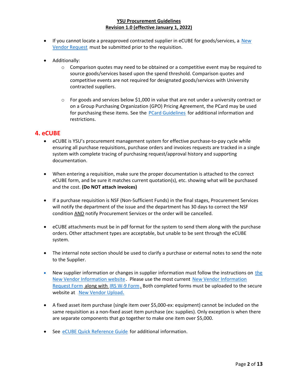- $\bullet$  If you cannot locate a preapproved contracted supplier in eCUBE for goods/services, a New [Vendor Request](https://ysu.edu/procurement-services/new-vendor-information) must be submitted prior to the requisition.
- Additionally:
	- $\circ$  Comparison quotes may need to be obtained or a competitive event may be required to source goods/services based upon the spend threshold. Comparison quotes and competitive events are not required for designated goods/services with [University](http://cms.ysu.edu/administrative-offices/procurement-services/procurement-vendor)  [contracted suppliers.](http://cms.ysu.edu/administrative-offices/procurement-services/procurement-vendor)
	- $\circ$  For goods and services below \$1,000 in value that are not under a university contract or on a Group Purchasing Organization (GPO) Pricing Agreement, the PCard may be used for purchasing these items. See the [PCard Guidelines](https://cms.ysu.edu/administrative-offices/procurement-services/pcard-program) for additional information and restrictions.

#### <span id="page-3-0"></span>**4. eCUBE**

- [eCUBE](http://web.ysu.edu/gen/ysu/eCUBE_m826.html) is YSU's procurement management system for effective purchase-to-pay cycle while ensuring all purchase requisitions, purchase orders and invoices requests are tracked in a single system with complete tracing of purchasing request/approval history and supporting documentation.
- When entering a requisition, make sure the proper documentation is attached to the correct eCUBE form, and be sure it matches current quotation(s), etc. showing what will be purchased and the cost. **(Do NOT attach invoices)**
- If a purchase requisition is NSF (Non-Sufficient Funds) in the final stages, Procurement Services will notify the department of the issue and the department has 30 days to correct the NSF condition AND notify Procurement Services or the order will be cancelled.
- eCUBE attachments must be in pdf format for the system to send them along with the purchase orders. Other attachment types are acceptable, but unable to be sent through the eCUBE system.
- The internal note section should be used to clarify a purchase or external notes to send the note to the Supplier.
- New supplier information or changes in supplier information must follow [the](http://cms.ysu.edu/administrative-offices/procurement-services/new-vendor-information) instructions on the [New Vendor Information website](http://cms.ysu.edu/administrative-offices/procurement-services/new-vendor-information). Please use the most current [New Vendor Information](http://cms.ysu.edu/sites/default/files/documents/administrative-offices/procurement-services/vendoronepage.pdf) [Request Form](http://cms.ysu.edu/sites/default/files/documents/administrative-offices/procurement-services/vendoronepage.pdf). along with JRS W-9 Form.. Both completed forms must be uploaded to the secure website at \_[New Vendor Upload](https://ysd.ysu.edu/newvendor).
- A fixed asset item purchase (single item over \$5,000-ex: equipment) cannot be included on the same requisition as a non-fixed asset item purchase (ex: supplies). Only exception is when there are separate components that go together to make one item over \$5,000.
- See [eCUBE Quick Reference Guide](https://cms.ysu.edu/sites/default/files/documents/administrative-offices/procurement-services/eCUBEQuickRefGuide.pdf) for additional information.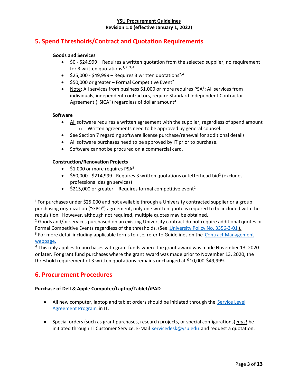# <span id="page-4-0"></span>**5. Spend Thresholds/Contract and Quotation Requirements**

#### **Goods and Services**

- \$0 \$24,999 Requires a written quotation from the selected supplier, no requirement for 3 written quotations.<sup>1, 2, 3, 4</sup>
- \$25,000 \$49,999 Requires 3 written quotations<sup>2,4</sup>
- $\bullet$  \$50,000 or greater Formal Competitive Event<sup>2</sup>
- Note: All services from business \$1,000 or more requires PSA<sup>3</sup>; All services from individuals, independent contractors, require Standard Independent Contractor Agreement ("SICA") regardless of dollar amount<sup>3</sup>

#### **Software**

- All software requires a written agreement with the supplier, regardless of spend amount o Written agreements need to be approved by general counsel.
- See Section 7 regarding software license purchase/renewal for additional details
- All software purchases need to be approved by IT prior to purchase.
- Software cannot be procured on a commercial card.

#### **Construction/Renovation Projects**

- \$1,000 or more requires  $PSA<sup>3</sup>$
- \$50,000 \$214,999 Requires 3 written quotations or letterhead bid² (excludes professional design services)
- $\bullet$  \$215,000 or greater Requires formal competitive event<sup>2</sup>

<sup>1</sup> For purchases under \$25,000 and not available through a University contracted supplier or a group purchasing organization ("GPO") agreement, only one written quote is required to be included with the requisition. However, although not required, multiple quotes may be obtained.

<sup>2</sup> Goods and/or services purchased on an existing University contract do not require additional quotes or Formal Competitive Events regardless of the thresholds. (See [University Policy No. 3356-3-01](https://cms.ysu.edu/administrative-offices/university-policies/3-budget-and-finance).). <sup>3</sup> For more detail including applicable forms to use, refer to Guidelines on the Contract Management [webpage.](https://cms.ysu.edu/administrative-offices/procurement-services/contract-management)

 $4$  This only applies to purchases with grant funds where the grant award was made November 13, 2020 or later. For grant fund purchases where the grant award was made prior to November 13, 2020, the threshold requirement of 3 written quotations remains unchanged at \$10,000-\$49,999.

#### <span id="page-4-1"></span>**6. Procurement Procedures**

#### **Purchase of Dell & Apple Computer/Laptop/Tablet/iPAD**

- All new computer, laptop and tablet orders should be initiated through the Service Level [Agreement Program](https://ysu.teamdynamix.com/TDClient/Requests/ServiceDet?ID=26244) in IT.
- Special orders (such as grant purchases, research projects, or special configurations) *must* be initiated through IT Customer Service. E-Mail [servicedesk@ysu.edu](mailto:servicedesk@ysu.edu). and request a quotation.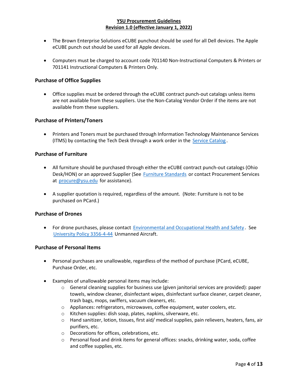- The Brown Enterprise Solutions eCUBE punchout should be used for all Dell devices. The Apple eCUBE punch out should be used for all Apple devices.
- Computers must be charged to account code 701140 Non-Instructional Computers & Printers or 701141 Instructional Computers & Printers Only.

#### **Purchase of Office Supplies**

• Office supplies must be ordered through the eCUBE contract punch-out catalogs unless items are not available from these suppliers. Use the Non-Catalog Vendor Order if the items are not available from these suppliers.

#### **Purchase of Printers/Toners**

• Printers and Toners must be purchased through Information Technology Maintenance Services (ITMS) by contacting the Tech Desk through a work order in the [Service Catalog](https://ysu.teamdynamix.com/TDClient/Requests/ServiceCatalog).

#### **Purchase of Furniture**

- All furniture should be purchased through either the eCUBE contract punch-out catalogs (Ohio Desk/HON) or an approved Supplier (See [Furniture Standards](https://cms.ysu.edu/administrative-offices/procurement-services/standards) or contact Procurement Services at [procure@ysu.edu](mailto:procure@ysu.edu) for assistance).
- A supplier quotation is required, regardless of the amount. (Note: Furniture is not to be purchased on PCard.)

#### **Purchase of Drones**

• For drone purchases, please contact [Environmental and Occupational Health and Safety](https://cms.ysu.edu/administrative-offices/eohs/environmental-and-occupational-health-and-safety). See [University Policy 3356-4-44](http://cms.ysu.edu/administrative-offices/university-policies/4-facilities). Unmanned Aircraft.

#### **Purchase of Personal Items**

- Personal purchases are unallowable, regardless of the method of purchase (PCard, eCUBE, Purchase Order, etc.
- Examples of unallowable personal items may include:
	- $\circ$  General cleaning supplies for business use (given janitorial services are provided): paper towels, window cleaner, disinfectant wipes, disinfectant surface cleaner, carpet cleaner, trash bags, mops, swiffers, vacuum cleaners, etc.
	- o Appliances: refrigerators, microwaves, coffee equipment, water coolers, etc.
	- o Kitchen supplies: dish soap, plates, napkins, silverware, etc.
	- o Hand sanitizer, lotion, tissues, first aid/ medical supplies, pain relievers, heaters, fans, air purifiers, etc.
	- o Decorations for offices, celebrations, etc.
	- $\circ$  Personal food and drink items for general offices: snacks, drinking water, soda, coffee and coffee supplies, etc.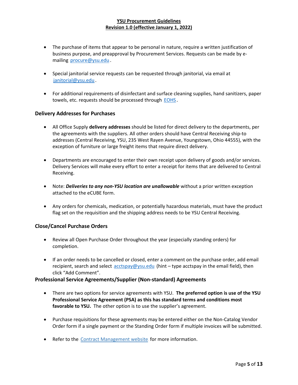- The purchase of items that appear to be personal in nature, require a written justification of business purpose, and preapproval by Procurement Services. Requests can be made by emailing [procure@ysu.edu](mailto:procure@ysu.edu).
- Special janitorial service requests can be requested through janitorial, via email at [janitorial@ysu.edu](mailto:janitorial@ysu.edu).
- For additional requirements of disinfectant and surface cleaning supplies, hand sanitizers, paper towels, etc. requests should be processed through [EOHS](https://ysu.edu/eohs).

#### **Delivery Addresses for Purchases**

- All Office Supply **delivery addresses** should be listed for direct delivery to the departments, per the agreements with the suppliers. All other orders should have Central Receiving ship-to addresses (Central Receiving, YSU, 235 West Rayen Avenue, Youngstown, Ohio 44555), with the exception of furniture or large freight items that require direct delivery.
- Departments are encouraged to enter their own receipt upon delivery of goods and/or services. Delivery Services will make every effort to enter a receipt for items that are delivered to Central Receiving.
- Note: *Deliveries to any non-YSU location are unallowable* without a prior written exception attached to the eCUBE form.
- Any orders for chemicals, medication, or potentially hazardous materials, must have the product flag set on the requisition and the shipping address needs to be YSU Central Receiving.

#### **Close/Cancel Purchase Orders**

- Review all Open Purchase Order throughout the year (especially standing orders) for completion.
- If an order needs to be cancelled or closed, enter a comment on the purchase order, add email recipient, search and select [acctspay@ysu.edu](mailto:acctspay@ysu.edu). (hint – type acctspay in the email field), then click "Add Comment".

#### **Professional Service Agreements/Supplier (Non-standard) Agreements**

- There are two options for service agreements with YSU. **The preferred option is use of the YSU Professional Service Agreement (PSA) as this has standard terms and conditions most favorable to YSU.** The other option is to use the supplier's agreement.
- Purchase requisitions for these agreements may be entered either on the Non-Catalog Vendor Order form if a single payment or the Standing Order form if multiple invoices will be submitted.
- Refer to the [Contract Management website](http://cms.ysu.edu/administrative-offices/procurement-services/contract-management) for more information.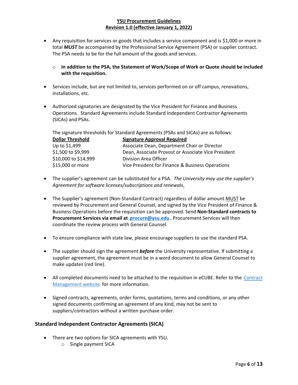- Any requisition for services or goods that includes a service component and is \$1,000 or more in total *MUST* be accompanied by the Professional Service Agreement (PSA) or supplier contract. The PSA needs to be for the full amount of the goods and services.
	- o **In addition to the PSA, the Statement of Work/Scope of Work or Quote should be included with the requisition.**
- Services include, but are not limited to, services performed on or off campus, renovations, installations, etc.
- Authorized signatories are designated by the Vice President for Finance and Business Operations. Standard Agreements include Standard Independent Contractor Agreements (SICAs) and PSAs.

The signature thresholds for Standard Agreements (PSAs and SICAs) are as follows:

| <b>Signature Approval Required</b>                  |
|-----------------------------------------------------|
| Associate Dean, Department Chair or Director        |
| Dean, Associate Provost or Associate Vice President |
| Division Area Officer                               |
| Vice President for Finance & Business Operations    |
|                                                     |

- The supplier's agreement can be substituted for a PSA. *The University may use the supplier's Agreement for software licenses/subscriptions and renewals*.
- The Supplier's agreement (Non-Standard Contract) regardless of dollar amount MUST be reviewed by Procurement and General Counsel, and signed by the Vice President of Finance & Business Operations before the requisition can be approved. Send **Non-Standard contracts to Procurement Services via email at** *[procure@ysu.edu](mailto:procure@ysu.edu)* Procurement Services will then coordinate the review process with General Counsel.
- To ensure compliance with state law, please encourage suppliers to use the standard PSA.
- The supplier should sign the agreement *before* the University representative. If submitting a supplier agreement, the agreement must be in a word document to allow General Counsel to make updates (red line).
- All completed documents need to be attached to the requisition in eCUBE. Refer to the Contract [Management website](http://cms.ysu.edu/administrative-offices/procurement-services/contract-management) for more information.
- Signed contracts, agreements, order forms, quotations, terms and conditions, or any other signed documents confirming an agreement of any kind, may not be sent to suppliers/contractors without a written purchase order.

#### **Standard Independent Contractor Agreements (SICA)**

- There are two options for SICA agreements with YSU.
	- o Single payment SICA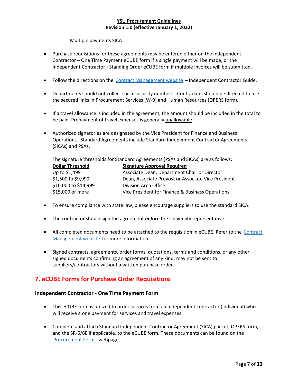- o Multiple payments SICA
- Purchase requisitions for these agreements may be entered either on the Independent Contractor – One Time Payment eCUBE form if a single payment will be made, or the Independent Contractor - Standing Order eCUBE form if multiple invoices will be submitted.
- Follow the directions on the [Contract Management website](https://cms.ysu.edu/administrative-offices/procurement-services/contract-management) Independent Contractor Guide.
- Departments should not collect social security numbers. Contractors should be directed to use the secured links in Procurement Services (W-9) and Human Resources (OPERS form).
- If a travel allowance is included in the agreement, the amount should be included in the total to be paid. Prepayment of travel expenses is generally unallowable.
- Authorized signatories are designated by the Vice President for Finance and Business Operations. Standard Agreements include Standard Independent Contractor Agreements (SICAs) and PSAs.

The signature thresholds for Standard Agreements (PSAs and SICAs) are as follows:

| <b>Dollar Threshold</b> | <b>Signature Approval Required</b>                  |
|-------------------------|-----------------------------------------------------|
| Up to \$1,499           | Associate Dean, Department Chair or Director        |
| \$1,500 to \$9,999      | Dean, Associate Provost or Associate Vice President |
| \$10,000 to \$14,999    | Division Area Officer                               |
| \$15,000 or more        | Vice President for Finance & Business Operations    |

- To ensure compliance with state law, please encourage suppliers to use the standard SICA.
- The contractor should sign the agreement *before* the University representative.
- All completed documents need to be attached to the requisition in eCUBE. Refer to the Contract [Management website](http://cms.ysu.edu/administrative-offices/procurement-services/contract-management) for more information.
- Signed contracts, agreements, order forms, quotations, terms and conditions, or any other signed documents confirming an agreement of any kind, may not be sent to suppliers/contractors without a written purchase order.

## <span id="page-8-0"></span>**7. eCUBE Forms for Purchase Order Requisitions**

#### **Independent Contractor - One Time Payment Form**

- This eCUBE form is utilized to order services from an independent contractor (individual) who will receive a one payment for services and travel expenses.
- Complete and attach Standard Independent Contractor Agreement (SICA) packet, OPERS form, and the SR-6/6E if applicable, to the eCUBE form. These documents can be found on the [Procurement Forms](http://cms.ysu.edu/administrative-offices/procurement-services/procurement-forms) webpage.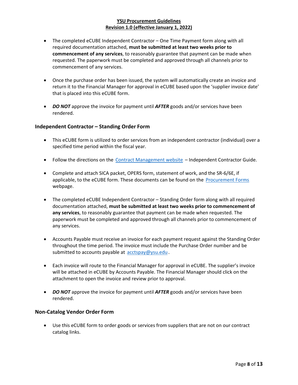- The completed eCUBE Independent Contractor One Time Payment form along with all required documentation attached, **must be submitted at least two weeks prior to commencement of any services**, to reasonably guarantee that payment can be made when requested. The paperwork must be completed and approved through all channels prior to commencement of any services.
- Once the purchase order has been issued, the system will automatically create an invoice and return it to the Financial Manager for approval in eCUBE based upon the 'supplier invoice date' that is placed into this eCUBE form.
- *DO NOT* approve the invoice for payment until *AFTER* goods and/or services have been rendered.

#### **Independent Contractor – Standing Order Form**

- This eCUBE form is utilized to order services from an independent contractor (individual) over a specified time period within the fiscal year.
- Follow the directions on the [Contract Management website](http://cms.ysu.edu/administrative-offices/procurement-services/contract-management) Independent Contractor Guide.
- Complete and attach SICA packet, OPERS form, statement of work, and the SR-6/6E, if applicable, to the eCUBE form. These documents can be found on the [Procurement Forms](http://cms.ysu.edu/administrative-offices/procurement-services/procurement-forms). webpage.
- The completed eCUBE Independent Contractor Standing Order form along with all required documentation attached, **must be submitted at least two weeks prior to commencement of any services**, to reasonably guarantee that payment can be made when requested. The paperwork must be completed and approved through all channels prior to commencement of any services.
- Accounts Payable must receive an invoice for each payment request against the Standing Order throughout the time period. The invoice must include the Purchase Order number and be submitted to accounts payable at [acctspay@ysu.edu](mailto:acctspay@ysu.edu).
- Each invoice will route to the Financial Manager for approval in eCUBE. The supplier's invoice will be attached in eCUBE by Accounts Payable. The Financial Manager should click on the attachment to open the invoice and review prior to approval.
- *DO NOT* approve the invoice for payment until *AFTER* goods and/or services have been rendered.

#### **Non-Catalog Vendor Order Form**

• Use this eCUBE form to order goods or services from suppliers that are not on our contract catalog links.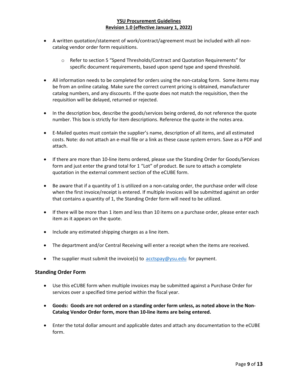- A written quotation/statement of work/contract/agreement must be included with all noncatalog vendor order form requisitions.
	- o Refer to section 5 "Spend Thresholds/Contract and Quotation Requirements" for specific document requirements, based upon spend type and spend threshold.
- All information needs to be completed for orders using the non-catalog form. Some items may be from an online catalog. Make sure the correct current pricing is obtained, manufacturer catalog numbers, and any discounts. If the quote does not match the requisition, then the requisition will be delayed, returned or rejected.
- In the description box, describe the goods/services being ordered, do not reference the quote number. This box is strictly for item descriptions. Reference the quote in the notes area.
- E-Mailed quotes must contain the supplier's name, description of all items, and all estimated costs. Note: do not attach an e-mail file or a link as these cause system errors. Save as a PDF and attach.
- If there are more than 10-line items ordered, please use the Standing Order for Goods/Services form and just enter the grand total for 1 "Lot" of product. Be sure to attach a complete quotation in the external comment section of the eCUBE form.
- Be aware that if a quantity of 1 is utilized on a non-catalog order, the purchase order will close when the first invoice/receipt is entered. If multiple invoices will be submitted against an order that contains a quantity of 1, the Standing Order form will need to be utilized.
- If there will be more than 1 item and less than 10 items on a purchase order, please enter each item as it appears on the quote.
- Include any estimated shipping charges as a line item.
- The department and/or Central Receiving will enter a receipt when the items are received.
- The supplier must submit the invoice(s) to [acctspay@ysu.edu](mailto:acctspay@ysu.edu). for payment.

#### **Standing Order Form**

- Use this eCUBE form when multiple invoices may be submitted against a Purchase Order for services over a specified time period within the fiscal year.
- **Goods: Goods are not ordered on a standing order form unless, as noted above in the Non-Catalog Vendor Order form, more than 10-line items are being entered.**
- Enter the total dollar amount and applicable dates and attach any documentation to the eCUBE form.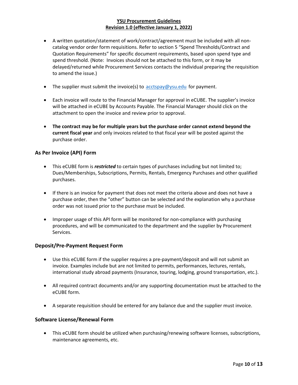- A written quotation/statement of work/contract/agreement must be included with all noncatalog vendor order form requisitions. Refer to section 5 "Spend Thresholds/Contract and Quotation Requirements" for specific document requirements, based upon spend type and spend threshold. (Note: Invoices should not be attached to this form, or it may be delayed/returned while Procurement Services contacts the individual preparing the requisition to amend the issue.)
- The supplier must submit the invoice(s) to [acctspay@ysu.edu](mailto:acctspay@ysu.edu). for payment.
- Each invoice will route to the Financial Manager for approval in eCUBE. The supplier's invoice will be attached in eCUBE by Accounts Payable. The Financial Manager should click on the attachment to open the invoice and review prior to approval.
- **The contract may be for multiple years but the purchase order cannot extend beyond the current fiscal year** and only invoices related to that fiscal year will be posted against the purchase order.

#### **As Per Invoice (API) Form**

- This eCUBE form is *restricted* to certain types of purchases including but not limited to; Dues/Memberships, Subscriptions, Permits, Rentals, Emergency Purchases and other qualified purchases.
- If there is an invoice for payment that does not meet the criteria above and does not have a purchase order, then the "other" button can be selected and the explanation why a purchase order was not issued prior to the purchase must be included.
- Improper usage of this API form will be monitored for non-compliance with purchasing procedures, and will be communicated to the department and the supplier by Procurement Services.

#### **Deposit/Pre-Payment Request Form**

- Use this eCUBE form if the supplier requires a pre-payment/deposit and will not submit an invoice. Examples include but are not limited to permits, performances, lectures, rentals, international study abroad payments (Insurance, touring, lodging, ground transportation, etc.).
- All required contract documents and/or any supporting documentation must be attached to the eCUBE form.
- A separate requisition should be entered for any balance due and the supplier must invoice.

#### **Software License/Renewal Form**

• This eCUBE form should be utilized when purchasing/renewing software licenses, subscriptions, maintenance agreements, etc.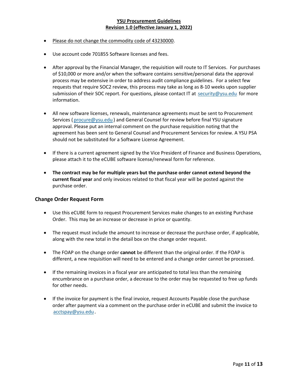- Please do not change the commodity code of 43230000.
- Use account code 701855 Software licenses and fees.
- After approval by the Financial Manager, the requisition will route to IT Services. For purchases of \$10,000 or more and/or when the software contains sensitive/personal data the approval process may be extensive in order to address audit compliance guidelines. For a select few requests that require SOC2 review, this process may take as long as 8-10 weeks upon supplier submission of their SOC report. For questions, please contact IT at [security@ysu.edu](mailto:security@ysu.edu). for more information.
- All new software licenses, renewals, maintenance agreements must be sent to Procurement Services ([procure@ysu.edu](mailto:procure@ysu.edu)) and General Counsel for review before final YSU signature approval. Please put an internal comment on the purchase requisition noting that the agreement has been sent to General Counsel and Procurement Services for review. A YSU PSA should not be substituted for a Software License Agreement.
- If there is a current agreement signed by the Vice President of Finance and Business Operations, please attach it to the eCUBE software license/renewal form for reference.
- **The contract may be for multiple years but the purchase order cannot extend beyond the current fiscal year** and only invoices related to that fiscal year will be posted against the purchase order.

#### **Change Order Request Form**

- Use this eCUBE form to request Procurement Services make changes to an existing Purchase Order. This may be an increase or decrease in price or quantity.
- The request must include the amount to increase or decrease the purchase order, if applicable, along with the new total in the detail box on the change order request.
- The FOAP on the change order **cannot** be different than the original order. If the FOAP is different, a new requisition will need to be entered and a change order cannot be processed.
- If the remaining invoices in a fiscal year are anticipated to total less than the remaining encumbrance on a purchase order, a decrease to the order may be requested to free up funds for other needs.
- If the invoice for payment is the final invoice, request Accounts Payable close the purchase order after payment via a comment on the purchase order in eCUBE and submit the invoice to acctspay@ysu.edu.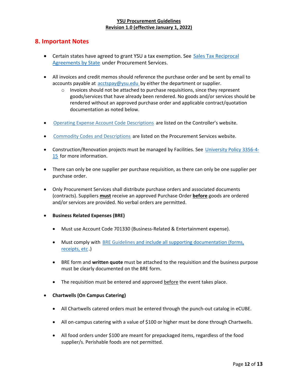## <span id="page-13-0"></span>**8. Important Notes**

- Certain states have agreed to grant YSU a tax exemption. See Sales Tax Reciprocal [Agreements by State](https://ysu.edu/procurement-services/sales-tax-reciprocal-agreements-state). under Procurement Services.
- All invoices and credit memos should reference the purchase order and be sent by email to accounts payable at  $arctspav@ysu.edu$  by either the department or supplier.
	- $\circ$  Invoices should not be attached to purchase requisitions, since they represent goods/services that have already been rendered. No goods and/or services should be rendered without an approved purchase order and applicable contract/quotation documentation as noted below.
- .D perating Expense Account Code Descriptions. are listed on the Controller's website.
- .[Commodity Codes](http://cms.ysu.edu/administrative-offices/procurement-services/ecube) and Descriptions. are listed on the Procurement Services website.
- Construction/Renovation projects must be managed by Facilities. See [University Policy 3356-4-](https://cms.ysu.edu/administrative-offices/university-policies/4-facilities) [15](https://cms.ysu.edu/administrative-offices/university-policies/4-facilities). for more information.
- There can only be one supplier per purchase requisition, as there can only be one supplier per purchase order.
- Only Procurement Services shall distribute purchase orders and associated documents (contracts). Suppliers **must** receive an approved Purchase Order **before** goods are ordered and/or services are provided. No verbal orders are permitted.
- **Business Related Expenses (BRE)**
	- Must use Account Code 701330 (Business-Related & Entertainment expense).
	- Must comply with [BRE Guidelines](http://cms.ysu.edu/sites/default/files/documents/administrative-offices/procurement-services/BRE_Guidelines.pdf) and include all supporting documentation (forms, receipts, etc..)
	- BRE form and **written quote** must be attached to the requisition and the business purpose must be clearly documented on the BRE form.
	- The requisition must be entered and approved before the event takes place.
- **Chartwells (On Campus Catering)**
	- All Chartwells catered orders must be entered through the punch-out catalog in eCUBE.
	- All on-campus catering with a value of \$100 or higher must be done through Chartwells.
	- All food orders under \$100 are meant for prepackaged items, regardless of the food supplier/s. Perishable foods are not permitted.